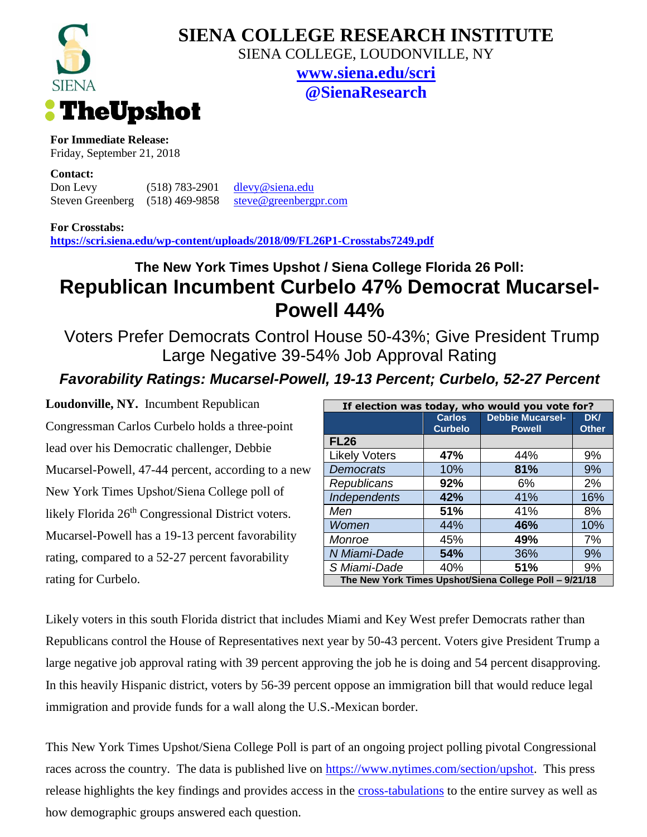

## **SIENA COLLEGE RESEARCH INSTITUTE**

SIENA COLLEGE, LOUDONVILLE, NY

**[www.siena.edu/scri](http://www.siena.edu/scri) @SienaResearch**

**For Immediate Release:**

Friday, September 21, 2018

**Contact:**

Don Levy (518) 783-2901 [dlevy@siena.edu](mailto:dlevy@siena.edu) Steven Greenberg (518) 469-9858 [steve@greenbergpr.com](mailto:steve@greenbergpr.com)

**For Crosstabs:**

**<https://scri.siena.edu/wp-content/uploads/2018/09/FL26P1-Crosstabs7249.pdf>**

## **The New York Times Upshot / Siena College Florida 26 Poll: Republican Incumbent Curbelo 47% Democrat Mucarsel-Powell 44%**

Voters Prefer Democrats Control House 50-43%; Give President Trump Large Negative 39-54% Job Approval Rating

## *Favorability Ratings: Mucarsel-Powell, 19-13 Percent; Curbelo, 52-27 Percent*

**Loudonville, NY.** Incumbent Republican Congressman Carlos Curbelo holds a three-point lead over his Democratic challenger, Debbie Mucarsel-Powell, 47-44 percent, according to a new New York Times Upshot/Siena College poll of likely Florida 26<sup>th</sup> Congressional District voters. Mucarsel-Powell has a 19-13 percent favorability rating, compared to a 52-27 percent favorability rating for Curbelo.

| If election was today, who would you vote for?         |                |                         |              |
|--------------------------------------------------------|----------------|-------------------------|--------------|
|                                                        | <b>Carlos</b>  | <b>Debbie Mucarsel-</b> | DK/          |
|                                                        | <b>Curbelo</b> | <b>Powell</b>           | <b>Other</b> |
| <b>FL26</b>                                            |                |                         |              |
| <b>Likely Voters</b>                                   | 47%            | 44%                     | 9%           |
| <b>Democrats</b>                                       | 10%            | 81%                     | 9%           |
| Republicans                                            | 92%            | 6%                      | 2%           |
| Independents                                           | 42%            | 41%                     | 16%          |
| Men                                                    | 51%            | 41%                     | 8%           |
| Women                                                  | 44%            | 46%                     | 10%          |
| Monroe                                                 | 45%            | 49%                     | 7%           |
| N Miami-Dade                                           | 54%            | 36%                     | 9%           |
| S Miami-Dade                                           | 40%            | 51%                     | 9%           |
| The New York Times Upshot/Siena College Poll - 9/21/18 |                |                         |              |

Likely voters in this south Florida district that includes Miami and Key West prefer Democrats rather than Republicans control the House of Representatives next year by 50-43 percent. Voters give President Trump a large negative job approval rating with 39 percent approving the job he is doing and 54 percent disapproving. In this heavily Hispanic district, voters by 56-39 percent oppose an immigration bill that would reduce legal immigration and provide funds for a wall along the U.S.-Mexican border.

This New York Times Upshot/Siena College Poll is part of an ongoing project polling pivotal Congressional races across the country. The data is published live on [https://www.nytimes.com/section/upshot.](https://www.nytimes.com/section/upshot) This press release highlights the key findings and provides access in the [cross-tabulations](https://scri.siena.edu/wp-content/uploads/2018/09/FL26P1-Crosstabs7249.pdf) to the entire survey as well as how demographic groups answered each question.